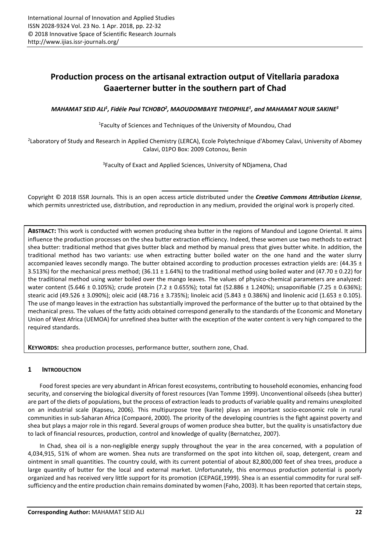# **Production process on the artisanal extraction output of Vitellaria paradoxa Gaaerterner butter in the southern part of Chad**

MAHAMAT SEID ALI<sup>1</sup>, Fidéle Paul TCHOBO<sup>2</sup>, MAOUDOMBAYE THEOPHILE<sup>1</sup>, and MAHAMAT NOUR SAKINE<sup>3</sup>

<sup>1</sup>Faculty of Sciences and Techniques of the University of Moundou, Chad

2 Laboratory of Study and Research in Applied Chemistry (LERCA), Ecole Polytechnique d'Abomey Calavi, University of Abomey Calavi, 01PO Box: 2009 Cotonou, Benin

<sup>3</sup>Faculty of Exact and Applied Sciences, University of NDjamena, Chad

Copyright © 2018 ISSR Journals. This is an open access article distributed under the *Creative Commons Attribution License*, which permits unrestricted use, distribution, and reproduction in any medium, provided the original work is properly cited.

**ABSTRACT:** This work is conducted with women producing shea butter in the regions of Mandoul and Logone Oriental. It aims influence the production processes on the shea butter extraction efficiency. Indeed, these women use two methods to extract shea butter: traditional method that gives butter black and method by manual press that gives butter white. In addition, the traditional method has two variants: use when extracting butter boiled water on the one hand and the water slurry accompanied leaves secondly mango. The butter obtained according to production processes extraction yields are:  $(44.35 \pm$ 3.513%) for the mechanical press method; (36.11  $\pm$  1.64%) to the traditional method using boiled water and (47.70  $\pm$  0.22) for the traditional method using water boiled over the mango leaves. The values of physico-chemical parameters are analyzed: water content (5.646 ± 0.105%); crude protein (7.2 ± 0.655%); total fat (52.886 ± 1.240%); unsaponifiable (7.25 ± 0.636%); stearic acid (49.526 ± 3.090%); oleic acid (48.716 ± 3.735%); linoleic acid (5.843 ± 0.386%) and linolenic acid (1.653 ± 0.105). The use of mango leaves in the extraction has substantially improved the performance of the butter up to that obtained by the mechanical press. The values of the fatty acids obtained correspond generally to the standards of the Economic and Monetary Union of West Africa (UEMOA) for unrefined shea butter with the exception of the water content is very high compared to the required standards.

**KEYWORDS:** shea production processes, performance butter, southern zone, Chad.

## **1 INTRODUCTION**

Food forest species are very abundant in African forest ecosystems, contributing to household economies, enhancing food security, and conserving the biological diversity of forest resources (Van Tomme 1999). Unconventional oilseeds (shea butter) are part of the diets of populations, but the process of extraction leads to products of variable quality and remains unexploited on an industrial scale (Kapseu, 2006). This multipurpose tree (karite) plays an important socio-economic role in rural communities in sub-Saharan Africa (Compaoré, 2000). The priority of the developing countries is the fight against poverty and shea but plays a major role in this regard. Several groups of women produce shea butter, but the quality is unsatisfactory due to lack of financial resources, production, control and knowledge of quality (Bernatchez, 2007).

In Chad, shea oil is a non-negligible energy supply throughout the year in the area concerned, with a population of 4,034,915, 51% of whom are women. Shea nuts are transformed on the spot into kitchen oil, soap, detergent, cream and ointment in small quantities. The country could, with its current potential of about 82,800,000 feet of shea trees, produce a large quantity of butter for the local and external market. Unfortunately, this enormous production potential is poorly organized and has received very little support for its promotion (CEPAGE,1999). Shea is an essential commodity for rural selfsufficiency and the entire production chain remains dominated by women (Faho, 2003). It has been reported that certain steps,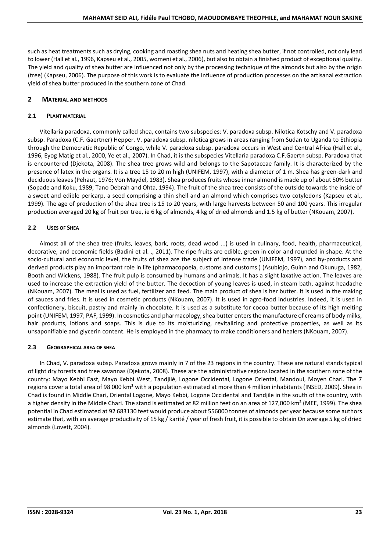such as heat treatments such as drying, cooking and roasting shea nuts and heating shea butter, if not controlled, not only lead to lower (Hall et al., 1996, Kapseu et al., 2005, womeni et al., 2006), but also to obtain a finished product of exceptional quality. The yield and quality of shea butter are influenced not only by the processing technique of the almonds but also by the origin (tree) (Kapseu, 2006). The purpose of this work is to evaluate the influence of production processes on the artisanal extraction yield of shea butter produced in the southern zone of Chad.

# **2 MATERIAL AND METHODS**

## **2.1 PLANT MATERIAL**

Vitellaria paradoxa, commonly called shea, contains two subspecies: V. paradoxa subsp. Nilotica Kotschy and V. paradoxa subsp. Paradoxa (C.F. Gaertner) Hepper. V. paradoxa subsp. nilotica grows in areas ranging from Sudan to Uganda to Ethiopia through the Democratic Republic of Congo, while V. paradoxa subsp. paradoxa occurs in West and Central Africa (Hall et al., 1996, Eyog Matig et al., 2000, Ye et al., 2007). In Chad, it is the subspecies Vitellaria paradoxa C.F.Gaertn subsp. Paradoxa that is encountered (Djekota, 2008). The shea tree grows wild and belongs to the Sapotaceae family. It is characterized by the presence of latex in the organs. It is a tree 15 to 20 m high (UNIFEM, 1997), with a diameter of 1 m. Shea has green-dark and deciduous leaves (Pehaut, 1976; Von Maydel, 1983). Shea produces fruits whose inner almond is made up of about 50% butter (Sopade and Koku, 1989; Tano Debrah and Ohta, 1994). The fruit of the shea tree consists of the outside towards the inside of a sweet and edible pericarp, a seed comprising a thin shell and an almond which comprises two cotyledons (Kapseu et al., 1999). The age of production of the shea tree is 15 to 20 years, with large harvests between 50 and 100 years. This irregular production averaged 20 kg of fruit per tree, ie 6 kg of almonds, 4 kg of dried almonds and 1.5 kg of butter (NKouam, 2007).

## **2.2 USES OF SHEA**

Almost all of the shea tree (fruits, leaves, bark, roots, dead wood ...) is used in culinary, food, health, pharmaceutical, decorative, and economic fields (Badini et al. ., 2011). The ripe fruits are edible, green in color and rounded in shape. At the socio-cultural and economic level, the fruits of shea are the subject of intense trade (UNIFEM, 1997), and by-products and derived products play an important role in life (pharmacopoeia, customs and customs ) (Asubiojo, Guinn and Okunuga, 1982, Booth and Wickens, 1988). The fruit pulp is consumed by humans and animals. It has a slight laxative action. The leaves are used to increase the extraction yield of the butter. The decoction of young leaves is used, in steam bath, against headache (NKouam, 2007). The meal is used as fuel, fertilizer and feed. The main product of shea is her butter. It is used in the making of sauces and fries. It is used in cosmetic products (NKouam, 2007). It is used in agro-food industries. Indeed, it is used in confectionery, biscuit, pastry and mainly in chocolate. It is used as a substitute for cocoa butter because of its high melting point (UNIFEM, 1997; PAF, 1999). In cosmetics and pharmacology, shea butter enters the manufacture of creams of body milks, hair products, lotions and soaps. This is due to its moisturizing, revitalizing and protective properties, as well as its unsaponifiable and glycerin content. He is employed in the pharmacy to make conditioners and healers (NKouam, 2007).

#### **2.3 GEOGRAPHICAL AREA OF SHEA**

In Chad, V. paradoxa subsp. Paradoxa grows mainly in 7 of the 23 regions in the country. These are natural stands typical of light dry forests and tree savannas (Djekota, 2008). These are the administrative regions located in the southern zone of the country: Mayo Kebbi East, Mayo Kebbi West, Tandjilé, Logone Occidental, Logone Oriental, Mandoul, Moyen Chari. The 7 regions cover a total area of 98 000 km² with a population estimated at more than 4 million inhabitants (INSED, 2009). Shea in Chad is found in Middle Chari, Oriental Logone, Mayo Kebbi, Logone Occidental and Tandjile in the south of the country, with a higher density in the Middle Chari. The stand is estimated at 82 million feet on an area of 127,000 km<sup>2</sup> (MEE, 1999). The shea potential in Chad estimated at 92 683130 feet would produce about 556000 tonnes of almonds per year because some authors estimate that, with an average productivity of 15 kg / karité / year of fresh fruit, it is possible to obtain On average 5 kg of dried almonds (Lovett, 2004).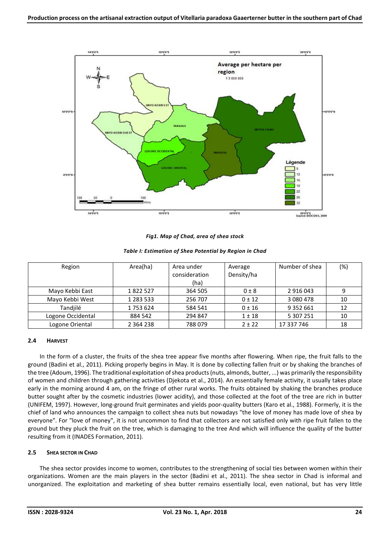

*Fig1. Map of Chad, area of shea stock* 

| Region            | Area(ha)      | Area under    | Average    | Number of shea | (%) |
|-------------------|---------------|---------------|------------|----------------|-----|
|                   |               | consideration | Density/ha |                |     |
|                   |               | (ha)          |            |                |     |
| Mayo Kebbi East   | 1822527       | 364 505       | 0±8        | 2 9 1 6 0 4 3  | 9   |
| Mayo Kebbi West   | 1 283 533     | 256 707       | $0 \pm 12$ | 3 0 8 0 4 7 8  | 10  |
| Tandjilé          | 1753624       | 584 541       | 0 ± 16     | 9 3 5 2 6 6 1  | 12  |
| Logone Occidental | 884 542       | 294 847       | $1 \pm 18$ | 5 307 251      | 10  |
| Logone Oriental   | 2 3 6 4 2 3 8 | 788079        | $2 + 22$   | 17 337 746     | 18  |

## **2.4 HARVEST**

In the form of a cluster, the fruits of the shea tree appear five months after flowering. When ripe, the fruit falls to the ground (Badini et al., 2011). Picking properly begins in May. It is done by collecting fallen fruit or by shaking the branches of the tree (Adoum, 1996). The traditional exploitation of shea products (nuts, almonds, butter, ...) was primarily the responsibility of women and children through gathering activities (Djekota et al., 2014). An essentially female activity, it usually takes place early in the morning around 4 am, on the fringe of other rural works. The fruits obtained by shaking the branches produce butter sought after by the cosmetic industries (lower acidity), and those collected at the foot of the tree are rich in butter (UNIFEM, 1997). However, long-ground fruit germinates and yields poor-quality butters (Karo et al., 1988). Formerly, it is the chief of land who announces the campaign to collect shea nuts but nowadays "the love of money has made love of shea by everyone". For "love of money", it is not uncommon to find that collectors are not satisfied only with ripe fruit fallen to the ground but they pluck the fruit on the tree, which is damaging to the tree And which will influence the quality of the butter resulting from it (INADES Formation, 2011).

## **2.5 SHEA SECTOR IN CHAD**

The shea sector provides income to women, contributes to the strengthening of social ties between women within their organizations. Women are the main players in the sector (Badini et al., 2011). The shea sector in Chad is informal and unorganized. The exploitation and marketing of shea butter remains essentially local, even national, but has very little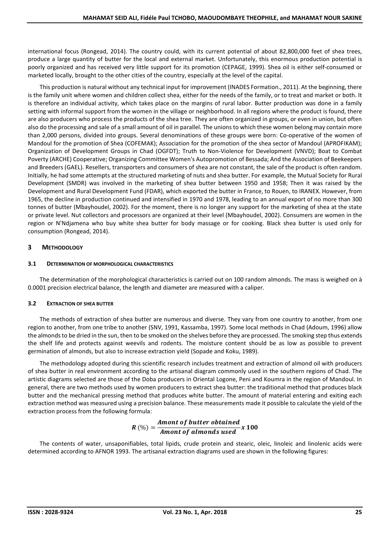international focus (Rongead, 2014). The country could, with its current potential of about 82,800,000 feet of shea trees, produce a large quantity of butter for the local and external market. Unfortunately, this enormous production potential is poorly organized and has received very little support for its promotion (CEPAGE, 1999). Shea oil is either self-consumed or marketed locally, brought to the other cities of the country, especially at the level of the capital.

This production is natural without any technical input for improvement (INADES Formation., 2011). At the beginning, there is the family unit where women and children collect shea, either for the needs of the family, or to treat and market or both. It is therefore an individual activity, which takes place on the margins of rural labor. Butter production was done in a family setting with informal support from the women in the village or neighborhood. In all regions where the product is found, there are also producers who process the products of the shea tree. They are often organized in groups, or even in union, but often also do the processing and sale of a small amount of oil in parallel. The unions to which these women belong may contain more than 2,000 persons, divided into groups. Several denominations of these groups were born: Co-operative of the women of Mandoul for the promotion of Shea (COFEMAK); Association for the promotion of the shea sector of Mandoul (APROFIKAM); Organization of Development Groups in Chad (OGFDT); Truth to Non-Violence for Development (VNVD); Boat to Combat Poverty (ARCHE) Cooperative; Organizing Committee Women's Autopromotion of Bessada; And the Association of Beekeepers and Breeders (GAEL). Resellers, transporters and consumers of shea are not constant, the sale of the product is often random. Initially, he had some attempts at the structured marketing of nuts and shea butter. For example, the Mutual Society for Rural Development (SMDR) was involved in the marketing of shea butter between 1950 and 1958; Then it was raised by the Development and Rural Development Fund (FDAR), which exported the butter in France, to Rouen, to IRANEX. However, from 1965, the decline in production continued and intensified in 1970 and 1978, leading to an annual export of no more than 300 tonnes of butter (Mbayhoudel, 2002). For the moment, there is no longer any support for the marketing of shea at the state or private level. Nut collectors and processors are organized at their level (Mbayhoudel, 2002). Consumers are women in the region or N'Ndjamena who buy white shea butter for body massage or for cooking. Black shea butter is used only for consumption (Rongead, 2014).

# **3 METHODOLOGY**

## **3.1 DETERMINATION OF MORPHOLOGICAL CHARACTERISTICS**

The determination of the morphological characteristics is carried out on 100 random almonds. The mass is weighed on à 0.0001 precision electrical balance, the length and diameter are measured with a caliper.

## **3.2 EXTRACTION OF SHEA BUTTER**

The methods of extraction of shea butter are numerous and diverse. They vary from one country to another, from one region to another, from one tribe to another (SNV, 1991, Kassamba, 1997). Some local methods in Chad (Adoum, 1996) allow the almonds to be dried in the sun, then to be smoked on the shelves before they are processed. The smoking step thus extends the shelf life and protects against weevils and rodents. The moisture content should be as low as possible to prevent germination of almonds, but also to increase extraction yield (Sopade and Koku, 1989).

The methodology adopted during this scientific research includes treatment and extraction of almond oil with producers of shea butter in real environment according to the artisanal diagram commonly used in the southern regions of Chad. The artistic diagrams selected are those of the Doba producers in Oriental Logone, Peni and Koumra in the region of Mandoul. In general, there are two methods used by women producers to extract shea butter: the traditional method that produces black butter and the mechanical pressing method that produces white butter. The amount of material entering and exiting each extraction method was measured using a precision balance. These measurements made it possible to calculate the yield of the extraction process from the following formula:

$$
R\left(\%\right) = \frac{Amount of butter obtained}{Amount of almost used} x 100
$$

The contents of water, unsaponifiables, total lipids, crude protein and stearic, oleic, linoleic and linolenic acids were determined according to AFNOR 1993. The artisanal extraction diagrams used are shown in the following figures: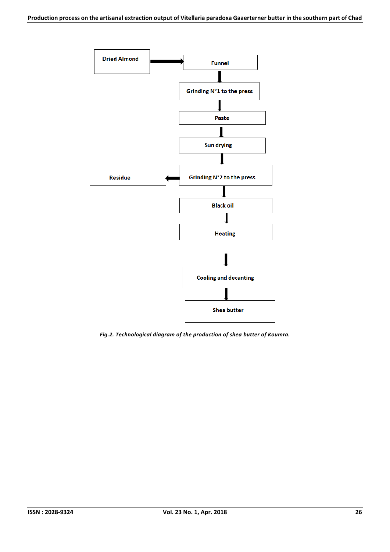

*Fig.2. Technological diagram of the production of shea butter of Koumra.*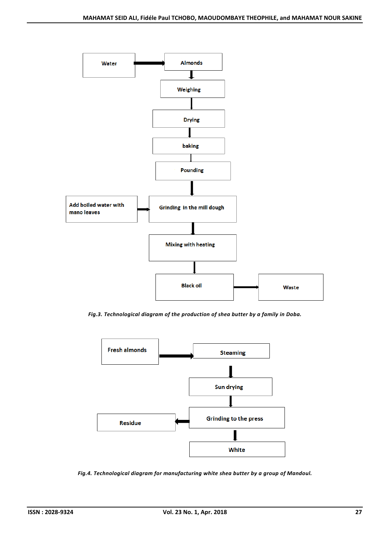

*Fig.3. Technological diagram of the production of shea butter by a family in Doba.* 



*Fig.4. Technological diagram for manufacturing white shea butter by a group of Mandoul.*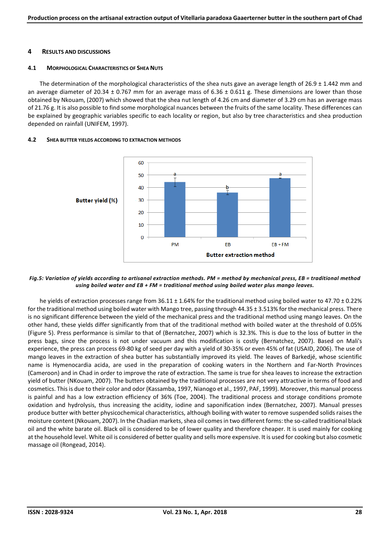#### **4 RESULTS AND DISCUSSIONS**

#### **4.1 MORPHOLOGICAL CHARACTERISTICS OF SHEA NUTS**

The determination of the morphological characteristics of the shea nuts gave an average length of  $26.9 \pm 1.442$  mm and an average diameter of 20.34  $\pm$  0.767 mm for an average mass of 6.36  $\pm$  0.611 g. These dimensions are lower than those obtained by Nkouam, (2007) which showed that the shea nut length of 4.26 cm and diameter of 3.29 cm has an average mass of 21.76 g. It is also possible to find some morphological nuances between the fruits of the same locality. These differences can be explained by geographic variables specific to each locality or region, but also by tree characteristics and shea production depended on rainfall (UNIFEM, 1997).

#### **4.2 SHEA BUTTER YIELDS ACCORDING TO EXTRACTION METHODS**



#### *Fig.5: Variation of yields according to artisanal extraction methods. PM = method by mechanical press, EB = traditional method using boiled water and EB + FM = traditional method using boiled water plus mango leaves.*

he yields of extraction processes range from 36.11 ± 1.64% for the traditional method using boiled water to 47.70 ± 0.22% for the traditional method using boiled water with Mango tree, passing through 44.35 ± 3.513% for the mechanical press. There is no significant difference between the yield of the mechanical press and the traditional method using mango leaves. On the other hand, these yields differ significantly from that of the traditional method with boiled water at the threshold of 0.05% (Figure 5). Press performance is similar to that of (Bernatchez, 2007) which is 32.3%. This is due to the loss of butter in the press bags, since the process is not under vacuum and this modification is costly (Bernatchez, 2007). Based on Mali's experience, the press can process 69-80 kg of seed per day with a yield of 30-35% or even 45% of fat (USAID, 2006). The use of mango leaves in the extraction of shea butter has substantially improved its yield. The leaves of Barkedjé, whose scientific name is Hymenocardia acida, are used in the preparation of cooking waters in the Northern and Far-North Provinces (Cameroon) and in Chad in order to improve the rate of extraction. The same is true for shea leaves to increase the extraction yield of butter (NKouam, 2007). The butters obtained by the traditional processes are not very attractive in terms of food and cosmetics. This is due to their color and odor (Kassamba, 1997, Nianogo et al., 1997, PAF, 1999). Moreover, this manual process is painful and has a low extraction efficiency of 36% (Toe, 2004). The traditional process and storage conditions promote oxidation and hydrolysis, thus increasing the acidity, iodine and saponification index (Bernatchez, 2007). Manual presses produce butter with better physicochemical characteristics, although boiling with water to remove suspended solids raises the moisture content (Nkouam, 2007). In the Chadian markets, shea oil comes in two different forms: the so-called traditional black oil and the white barate oil. Black oil is considered to be of lower quality and therefore cheaper. It is used mainly for cooking at the household level. White oil is considered of better quality and sells more expensive. It is used for cooking but also cosmetic massage oil (Rongead, 2014).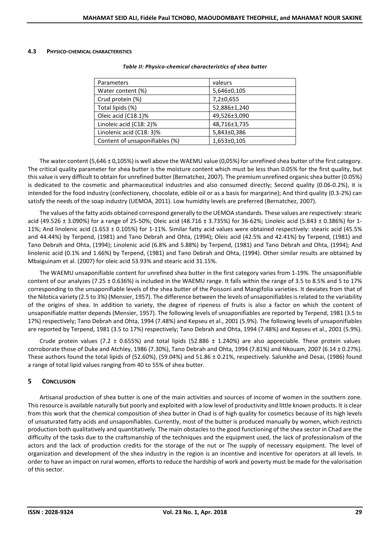#### **4.3 PHYSICO-CHEMICAL CHARACTERISTICS**

| Parameters                     | valeurs         |  |
|--------------------------------|-----------------|--|
| Water content (%)              | 5,646±0,105     |  |
| Crud protein (%)               | $7,2\pm0.655$   |  |
| Total lipids (%)               | 52,886±1,240    |  |
| Oleic acid (C18.1)%            | 49,526±3,090    |  |
| Linoleic acid (C18: 2)%        | 48,716±3,735    |  |
| Linolenic acid (C18: 3)%       | 5,843±0,386     |  |
| Content of unsaponifiables (%) | $1,653\pm0,105$ |  |

#### *Table II: Physico-chemical characteristics of shea butter*

The water content (5,646 ± 0,105%) is well above the WAEMU value (0,05%) for unrefined shea butter of the first category. The critical quality parameter for shea butter is the moisture content which must be less than 0.05% for the first quality, but this value is very difficult to obtain for unrefined butter (Bernatchez, 2007). The premium unrefined organic shea butter (0.05%) is dedicated to the cosmetic and pharmaceutical industries and also consumed directly; Second quality (0.06-0.2%), it is intended for the food industry (confectionery, chocolate, edible oil or as a basis for margarine); And third quality (0.3-2%) can satisfy the needs of the soap industry (UEMOA, 2011). Low humidity levels are preferred (Bernatchez, 2007).

The values of the fatty acids obtained correspond generally to the UEMOA standards. These values are respectively: stearic acid (49.526 ± 3.090%) for a range of 25-50%; Oleic acid (48.716 ± 3.735%) for 36-62%; Linoleic acid (5.843 ± 0.386%) for 1- 11%; And linolenic acid (1.653 ± 0.105%) for 1-11%. Similar fatty acid values were obtained respectively: stearic acid (45.5% and 44.44%) by Terpend, (1981) and Tano Debrah and Ohta, (1994); Oleic acid (42.5% and 42.41%) by Terpend, (1981) and Tano Debrah and Ohta, (1994); Linolenic acid (6.8% and 5.88%) by Terpend, (1981) and Tano Debrah and Ohta, (1994); And linolenic acid (0.1% and 1.66%) by Terpend, (1981) and Tano Debrah and Ohta, (1994). Other similar results are obtained by Mbaiguinam et al. (2007) for oleic acid 53.93% and stearic acid 31.15%.

The WAEMU unsaponifiable content for unrefined shea butter in the first category varies from 1-19%. The unsaponifiable content of our analyzes (7.25 ± 0.636%) is included in the WAEMU range. It falls within the range of 3.5 to 8.5% and 5 to 17% corresponding to the unsaponifiable levels of the shea butter of the Poissoni and Mangifolia varieties. It deviates from that of the Nilotica variety (2.5 to 3%) (Mensier, 1957). The difference between the levels of unsaponifiables is related to the variability of the origins of shea. In addition to variety, the degree of ripeness of fruits is also a factor on which the content of unsaponifiable matter depends (Mensier, 1957). The following levels of unsaponifiables are reported by Terpend, 1981 (3.5 to 17%) respectively; Tano Debrah and Ohta, 1994 (7.48%) and Kepseu et al., 2001 (5.9%). The following levels of unsaponifiables are reported by Terpend, 1981 (3.5 to 17%) respectively; Tano Debrah and Ohta, 1994 (7.48%) and Kepseu et al., 2001 (5.9%).

Crude protein values (7.2  $\pm$  0.655%) and total lipids (52.886  $\pm$  1.240%) are also appreciable. These protein values corroborate those of Duke and Atchley, 1986 (7.30%), Tano Debrah and Ohta, 1994 (7.81%) and Nkouam, 2007 (6.14 ± 0.27%). These authors found the total lipids of (52.60%), (59.04%) and 51.86 ± 0.21%, respectively. Salunkhe and Desai, (1986) found a range of total lipid values ranging from 40 to 55% of shea butter.

## **5 CONCLUSION**

Artisanal production of shea butter is one of the main activities and sources of income of women in the southern zone. This resource is available naturally but poorly and exploited with a low level of productivity and little known products. It is clear from this work that the chemical composition of shea butter in Chad is of high quality for cosmetics because of its high levels of unsaturated fatty acids and unsaponifiables. Currently, most of the butter is produced manually by women, which restricts production both qualitatively and quantitatively. The main obstacles to the good functioning of the shea sector in Chad are the difficulty of the tasks due to the craftsmanship of the techniques and the equipment used, the lack of professionalism of the actors and the lack of production credits for the storage of the nut or The supply of necessary equipment. The level of organization and development of the shea industry in the region is an incentive and incentive for operators at all levels. In order to have an impact on rural women, efforts to reduce the hardship of work and poverty must be made for the valorisation of this sector.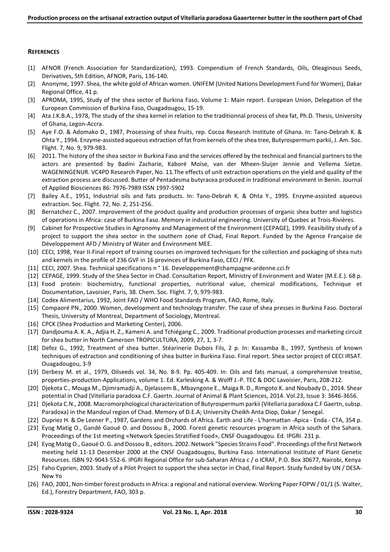#### **REFERENCES**

- [1] AFNOR (French Association for Standardization), 1993. Compendium of French Standards, Oils, Oleaginous Seeds, Derivatives, 5th Edition, AFNOR, Paris, 136-140.
- [2] Anonyme, 1997. Shea, the white gold of African women. UNIFEM (United Nations Development Fund for Women), Dakar Regional Office, 41 p.
- [3] APROMA, 1995, Study of the shea sector of Burkina Faso, Volume 1: Main report. European Union, Delegation of the European Commission of Burkina Faso, Ouagadougou, 15-19.
- [4] Ata J.K.B.A., 1978, The study of the shea kernel in relation to the traditionnal process of shea fat, Ph.D. Thesis, University of Ghana, Legon-Accra.
- [5] Aye F.O. & Adomako D., 1987, Processing of shea fruits, rep. Cocoa Research Institute of Ghana. In: Tano-Debrah K. & Ohta Y., 1994. Enzyme-assisted aqueous extraction of fat from kernels of the shea tree, Butyrospermum parkii, J. Am. Soc. Flight. 7, No. 9, 979-983.
- [6] 2011. The history of the shea sector in Burkina Faso and the services offered by the technical and financial partners to the actors are presented by Badini Zacharie, Kaboré Moïse, van der Mheen-Sluijer Jennie and Vellema Sietze. WAGENINGENUR. VC4PD Research Paper, No. 11.The effects of unit extraction operations on the yield and quality of the extraction process are discussed. Butter of Pentadesma butyracea produced in traditional environment in Benin. Journal of Applied Biosciences 86: 7976-7989 ISSN 1997-5902
- [7] Bailey A.E., 1951, Industrial oils and fats products. In: Tano-Debrah K. & Ohta Y., 1995. Enzyme-assisted aqueous extraction. Soc. Flight. 72, No. 2, 251-256.
- [8] Bernatchez C., 2007. Improvement of the product quality and production processes of organic shea butter and logistics of operations in Africa: case of Burkina Faso. Memory in industrial engineering. University of Quebec at Trois-Rivières.
- [9] Cabinet for Prospective Studies in Agronomy and Management of the Environment (CEPAGE), 1999. Feasibility study of a project to support the shea sector in the southern zone of Chad, Final Report. Funded by the Agence Française de Développement AFD / Ministry of Water and Environment MEE.
- [10] CECI, 1998, Year II-Final report of training courses on improved techniques for the collection and packaging of shea nuts and kernels in the profile of 236 GVF in 16 provinces of Burkina Faso, CECI / PFK.
- [11] CECI, 2007. Shea. Technical specifications n ° 16. Developpement@champagne-ardenne.cci.fr
- [12] CEPAGE, 1999. Study of the Shea Sector in Chad. Consultation Report, Ministry of Environment and Water (M.E.E.). 68 p.
- [13] Food protein: biochemistry, functional properties, nutritional value, chemical modifications, Technique et Documentation, Lavoisier, Paris, 38. Chem. Soc. Flight. 7, 9, 979-983.
- [14] Codex Alimentarius, 1992, Joint FAO / WHO Food Standards Program, FAO, Rome, Italy.
- [15] Compaoré PN., 2000. Women, development and technology transfer. The case of shea presses in Burkina Faso. Doctoral Thesis, University of Montreal, Department of Sociology, Montreal.
- [16] CPCK (Shea Production and Marketing Center), 2006.
- [17] Dandjouma A. K. A., Adjia H. Z., Kameni A. and Tchiégang C., 2009. Traditional production processes and marketing circuit for shea butter in North Cameroon TROPICULTURA, 2009, 27, 1, 3-7.
- [18] Defez G., 1992, Treatment of shea butter. Stéarinerie Dubois Fils, 2 p. In: Kassamba B., 1997, Synthesis of known techniques of extraction and conditioning of shea butter in Burkina Faso. Final report. Shea sector project of CECI IRSAT. Ouagadougou, 3-9
- [19] Derbesy M. et al., 1979, Oilseeds vol. 34, No. 8-9. Pp. 405-409. In: Oils and fats manual, a comprehensive treatise, properties-production-Applications, volume 1. Ed. Karlesking A. & Wolff J.-P. TEC & DOC Lavoisier, Paris, 208-212.
- [20] Djekota C., Mouga M., Djimramadji A., Djelassem B., Mbayngone E., Maiga R. D., Rimgoto K. and Noubady D., 2014. Shear potential in Chad (Vitellaria paradoxa C.F. Gaertn. Journal of Animal & Plant Sciences, 2014. Vol.23, Issue 3: 3646-3656.
- [21] Djekota C.N., 2008. Macromorphological characterization of Butyrospermum parkii (Vitellaria paradoxa C.F Gaertn, subsp. Paradoxa) in the Mandoul region of Chad. Memory of D.E.A; University Cheikh Anta Diop, Dakar / Senegal.
- [22] Dupriez H. & De Leener P., 1987, Gardens and Orchards of Africa. Earth and Life L'harmattan -Apica Enda CTA, 354 p.
- [23] Eyog Matig O., Gandé Gaoué O. and Dossou B., 2000. Forest genetic resources program in Africa south of the Sahara. Proceedings of the 1st meeting «Network Species Stratified Food», CNSF Ouagadougou. Ed. IPGRI. 231 p.
- [24] Eyog Matig O., Gaoué O. G. and Dossou B., editors. 2002. Network "Species Strains Food". Proceedings of the first Network meeting held 11-13 December 2000 at the CNSF Ouagadougou, Burkina Faso. International Institute of Plant Genetic Resources. ISBN 92-9043-552-6. IPGRI Regional Office for sub-Saharan Africa c / o ICRAF, P.O. Box 30677, Nairobi, Kenya
- [25] Faho Cyprien, 2003. Study of a Pilot Project to support the shea sector in Chad, Final Report. Study funded by UN / DESA-New Yo
- [26] FAO, 2001, Non-timber forest products in Africa: a regional and national overview. Working Paper FOPW / 01/1 (S. Walter, Ed.), Forestry Department, FAO, 303 p.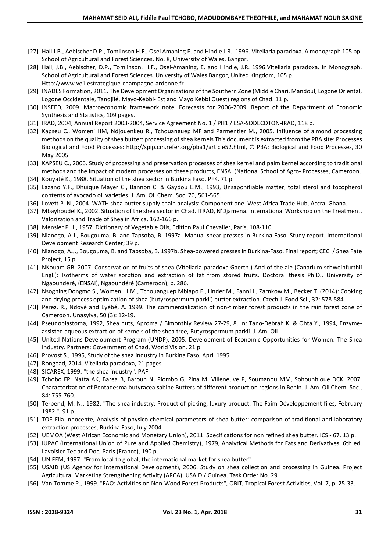- [27] Hall J.B., Aebischer D.P., Tomlinson H.F., Osei Amaning E. and Hindle J.R., 1996. Vitellaria paradoxa. A monograph 105 pp. School of Agricultural and Forest Sciences, No. 8, University of Wales, Bangor.
- [28] Hall, J.B., Aebischer, D.P., Tomlinson, H.F., Osei-Amaning, E. and Hindle, J.R. 1996.Vitellaria paradoxa. In Monograph. School of Agricultural and Forest Sciences. University of Wales Bangor, United Kingdom, 105 p. Http://www.veillestrategique-champagne-ardenne.fr
- [29] INADES Formation, 2011. The Development Organizations of the Southern Zone (Middle Chari, Mandoul, Logone Oriental, Logone Occidentale, Tandjilé, Mayo-Kebbi- Est and Mayo Kebbi Ouest) regions of Chad. 11 p.
- [30] INSEED, 2009. Macroeconomic framework note. Forecasts for 2006-2009. Report of the Department of Economic Synthesis and Statistics, 109 pages.
- [31] IRAD, 2004, Annual Report 2003-2004, Service Agreement No. 1 / PH1 / ESA-SODECOTON-IRAD, 118 p.
- [32] Kapseu C., Womeni HM, Ndjouenkeu R., Tchouanguep MF and Parmentier M., 2005. Influence of almond processing methods on the quality of shea butter: processing of shea kernels This document is extracted from the PBA site: Processes Biological and Food Processes: http://spip.cm.refer.org/pba1/article52.html, © PBA: Biological and Food Processes, 30 May 2005.
- [33] KAPSEU C., 2006. Study of processing and preservation processes of shea kernel and palm kernel according to traditional methods and the impact of modern processes on these products, ENSAI (National School of Agro- Processes, Cameroon.
- [34] Kouyaté K., 1988, Situation of the shea sector in Burkina Faso. PFK, 71 p.
- [35] Lazano Y.F., Dhuique Mayer C., Bannon C. & Gaydou E.M., 1993, Unsaponifiable matter, total sterol and tocopherol contents of avocado oil varieties. J. Am. Oil Chem. Soc. 70, 561-565.
- [36] Lovett P. N., 2004. WATH shea butter supply chain analysis: Component one. West Africa Trade Hub, Accra, Ghana.
- [37] Mbayhoudel K., 2002. Situation of the shea sector in Chad. ITRAD, N'Djamena. International Workshop on the Treatment, Valorization and Trade of Shea in Africa. 162-166 p.
- [38] Mensier P.H., 1957, Dictionary of Vegetable Oils, Edition Paul Chevalier, Paris, 108-110.
- [39] Nianogo, A.J., Bougouma, B. and Tapsoba, B. 1997a. Manual shear presses in Burkina Faso. Study report. International Development Research Center; 39 p.
- [40] Nianogo, A.J., Bougouma, B. and Tapsoba, B. 1997b. Shea-powered presses in Burkina-Faso. Final report; CECI / Shea Fate Project, 15 p.
- [41] NKouam GB. 2007. Conservation of fruits of shea (Vitellaria paradoxa Gaertn.) And of the ale (Canarium schweinfurthii Engl.): Isotherms of water sorption and extraction of fat from stored fruits. Doctoral thesis Ph.D., University of Ngaoundéré, (ENSAI), Ngaoundéré (Cameroon), p. 286.
- [42] Nsogning Dongmo S., Womeni H.M., Tchouanguep Mbiapo F., Linder M., Fanni J., Zarnkow M., Becker T. (2014): Cooking and drying process optimization of shea (butyrospermum parkii) butter extraction. Czech J. Food Sci., 32: 578-584.
- [43] Perez, R., Ndoyé and Eyébé, A. 1999. The commercialization of non-timber forest products in the rain forest zone of Cameroon. Unasylva, 50 (3): 12-19.
- [44] Pseudoblastoma, 1992, Shea nuts, Aproma / Bimonthly Review 27-29, 8. In: Tano-Debrah K. & Ohta Y., 1994, Enzymeassisted aqueous extraction of kernels of the shea tree, Butyrospermum parkii. J. Am. Oil
- [45] United Nations Development Program (UNDP), 2005. Development of Economic Opportunities for Women: The Shea Industry. Partners: Government of Chad, World Vision. 21 p.
- [46] Provost S., 1995, Study of the shea industry in Burkina Faso, April 1995.
- [47] Rongead, 2014. Vitellaria paradoxa, 21 pages.
- [48] SICAREX, 1999: "the shea industry". PAF
- [49] Tchobo FP, Natta AK, Barea B, Barouh N, Piombo G, Pina M, Villeneuve P, Soumanou MM, Sohounhloue DCK. 2007. Characterization of Pentadesma butyracea sabine Butters of different production regions in Benin. J. Am. Oil Chem. Soc., 84: 755-760.
- [50] Terpend, M. N., 1982: "The shea industry; Product of picking, luxury product. The Faim Développement files, February 1982 ", 91 p.
- [51] TOE Ella Innocente, Analysis of physico-chemical parameters of shea butter: comparison of traditional and laboratory extraction processes, Burkina Faso, July 2004.
- [52] UEMOA (West African Economic and Monetary Union), 2011. Specifications for non refined shea butter. ICS 67. 13 p.
- [53] IUPAC (International Union of Pure and Applied Chemistry), 1979, Analytical Methods for Fats and Derivatives. 6th ed. Lavoisier Tec and Doc, Paris (France), 190 p.
- [54] UNIFEM, 1997: "From local to global, the international market for shea butter"
- [55] USAID (US Agency for International Development), 2006. Study on shea collection and processing in Guinea. Project Agricultural Marketing Strengthening Activity (ARCA). USAID / Guinea. Task Order No. 29
- [56] Van Tomme P., 1999. "FAO: Activities on Non-Wood Forest Products", OBIT, Tropical Forest Activities, Vol. 7, p. 25-33.